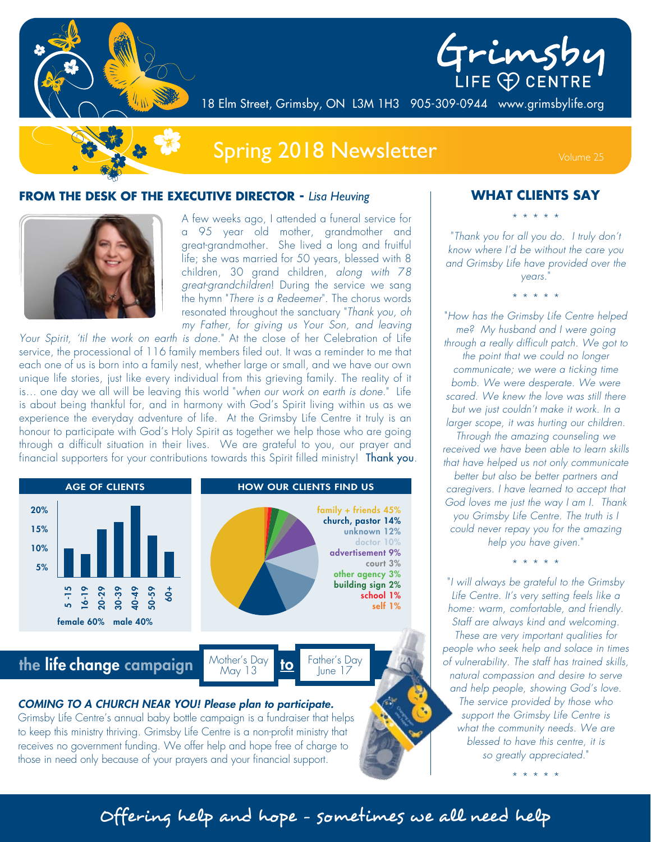



18 Elm Street, Grimsby, ON L3M 1H3 905-309-0944 www.grimsbylife.org



# Spring 2018 Newsletter Volume 25

#### **FROM THE DESK OF THE EXECUTIVE DIRECTOR -** *Lisa Heuving*



A few weeks ago, I attended a funeral service for a 95 year old mother, grandmother and great-grandmother. She lived a long and fruitful life; she was married for 50 years, blessed with 8 children, 30 grand children, *along with* 7*8 great-grandchildren*! During the service we sang the hymn "*There is a Redeemer*". The chorus words resonated throughout the sanctuary "*Thank you, oh my Father, for giving us Your Son, and leaving* 

*Your Spirit, 'til the work on earth is done.*" At the close of her Celebration of Life service, the processional of 116 family members filed out. It was a reminder to me that each one of us is born into a family nest, whether large or small, and we have our own unique life stories, just like every individual from this grieving family. The reality of it is… one day we all will be leaving this world "*when our work on earth is done*." Life is about being thankful for, and in harmony with God's Spirit living within us as we experience the everyday adventure of life. At the Grimsby Life Centre it truly is an honour to participate with God's Holy Spirit as together we help those who are going through a difficult situation in their lives. We are grateful to you, our prayer and financial supporters for your contributions towards this Spirit filled ministry! Thank you



#### **WHAT CLIENTS SAY**

\* \* \* \* \*

"*Thank you for all you do. I truly don't know where I'd be without the care you and Grimsby Life have provided over the years.*"

\* \* \* \* \*

"*How has the Grimsby Life Centre helped me? My husband and I were going through a really difficult patch. We got to the point that we could no longer communicate; we were a ticking time bomb. We were desperate. We were scared. We knew the love was still there but we just couldn't make it work. In a larger scope, it was hurting our children. Through the amazing counseling we received we have been able to learn skills that have helped us not only communicate better but also be better partners and caregivers. I have learned to accept that God loves me just the way I am I. Thank you Grimsby Life Centre. The truth is I could never repay you for the amazing help you have given.*"

\* \* \* \* \*

"*I will always be grateful to the Grimsby Life Centre. It's very setting feels like a home: warm, comfortable, and friendly. Staff are always kind and welcoming. These are very important qualities for people who seek help and solace in times of vulnerability. The staff has trained skills, natural compassion and desire to serve and help people, showing God's love. The service provided by those who support the Grimsby Life Centre is what the community needs. We are blessed to have this centre, it is so greatly appreciated.*"

\* \* \* \* \*

Offering help and hope - sometimes we all need help